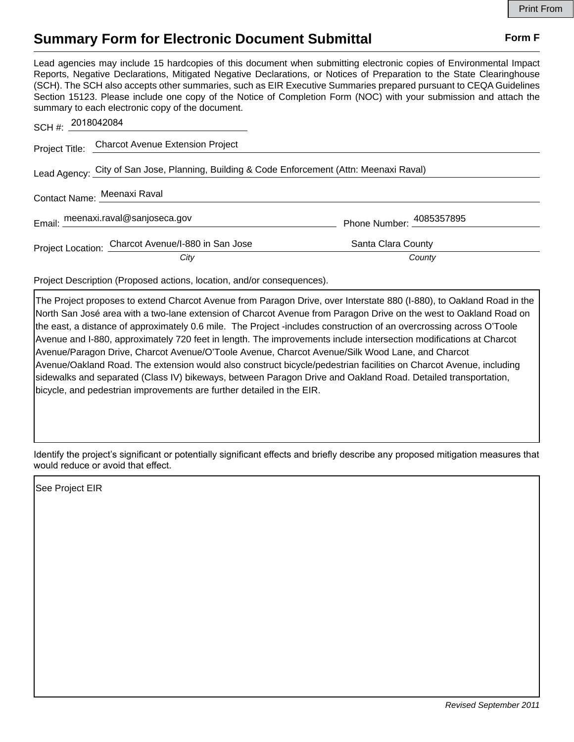## **Summary Form for Electronic Document Submittal Form F Form F**

Lead agencies may include 15 hardcopies of this document when submitting electronic copies of Environmental Impact Reports, Negative Declarations, Mitigated Negative Declarations, or Notices of Preparation to the State Clearinghouse (SCH). The SCH also accepts other summaries, such as EIR Executive Summaries prepared pursuant to CEQA Guidelines Section 15123. Please include one copy of the Notice of Completion Form (NOC) with your submission and attach the summary to each electronic copy of the document.

| SCH #: 2018042084                                                                          |                                                    |                          |  |
|--------------------------------------------------------------------------------------------|----------------------------------------------------|--------------------------|--|
|                                                                                            | Project Title: Charcot Avenue Extension Project    |                          |  |
| Lead Agency: City of San Jose, Planning, Building & Code Enforcement (Attn: Meenaxi Raval) |                                                    |                          |  |
|                                                                                            | Contact Name: Meenaxi Raval                        |                          |  |
|                                                                                            | Email: meenaxi.raval@sanjoseca.gov                 | Phone Number: 4085357895 |  |
|                                                                                            | Project Location: Charcot Avenue/I-880 in San Jose | Santa Clara County       |  |
|                                                                                            | City                                               | County                   |  |

Project Description (Proposed actions, location, and/or consequences).

The Project proposes to extend Charcot Avenue from Paragon Drive, over Interstate 880 (I-880), to Oakland Road in the North San José area with a two-lane extension of Charcot Avenue from Paragon Drive on the west to Oakland Road on the east, a distance of approximately 0.6 mile. The Project -includes construction of an overcrossing across O'Toole Avenue and I-880, approximately 720 feet in length. The improvements include intersection modifications at Charcot Avenue/Paragon Drive, Charcot Avenue/O'Toole Avenue, Charcot Avenue/Silk Wood Lane, and Charcot Avenue/Oakland Road. The extension would also construct bicycle/pedestrian facilities on Charcot Avenue, including sidewalks and separated (Class IV) bikeways, between Paragon Drive and Oakland Road. Detailed transportation, bicycle, and pedestrian improvements are further detailed in the EIR.

Identify the project's significant or potentially significant effects and briefly describe any proposed mitigation measures that would reduce or avoid that effect.

See Project EIR